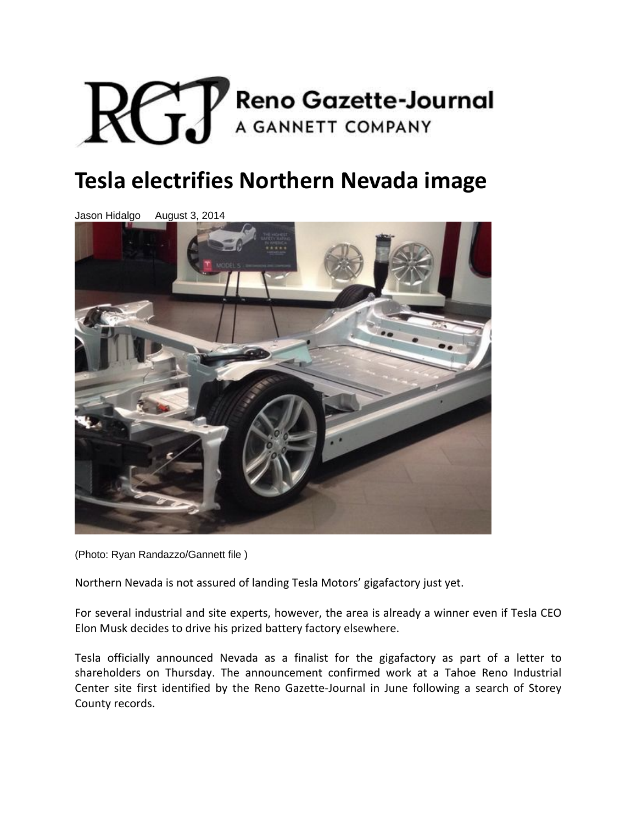

## **Tesla electrifies Northern Nevada image**

Jason Hidalgo August 3, 2014



(Photo: Ryan Randazzo/Gannett file )

Northern Nevada is not assured of landing Tesla Motors' gigafactory just yet.

For several industrial and site experts, however, the area is already a winner even if Tesla CEO Elon Musk decides to drive his prized battery factory elsewhere.

Tesla officially announced Nevada as a finalist for the gigafactory as part of a letter to shareholders on Thursday. The announcement confirmed work at a Tahoe Reno Industrial Center site first identified by the Reno Gazette‐Journal in June following a search of Storey County records.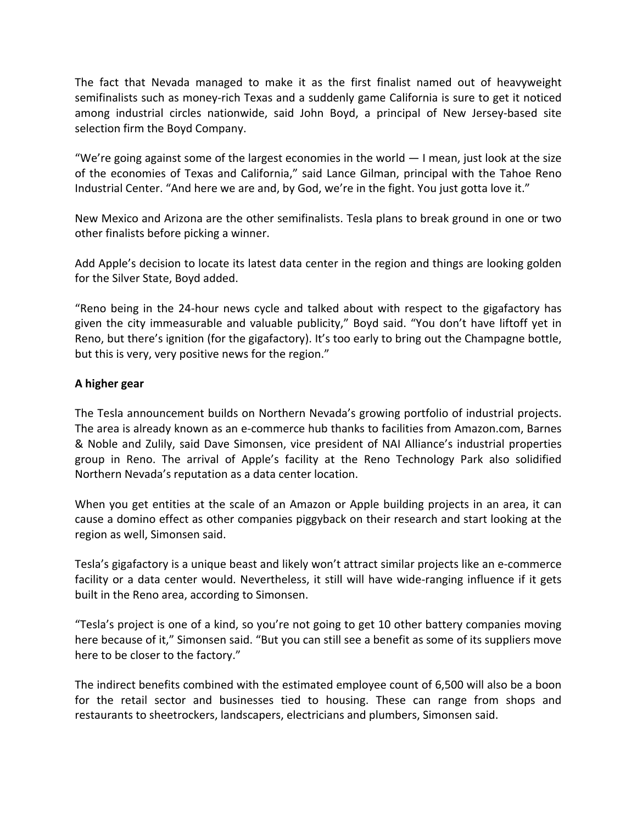The fact that Nevada managed to make it as the first finalist named out of heavyweight semifinalists such as money-rich Texas and a suddenly game California is sure to get it noticed among industrial circles nationwide, said John Boyd, a principal of New Jersey‐based site selection firm the Boyd Company.

"We're going against some of the largest economies in the world  $-1$  mean, just look at the size of the economies of Texas and California," said Lance Gilman, principal with the Tahoe Reno Industrial Center. "And here we are and, by God, we're in the fight. You just gotta love it."

New Mexico and Arizona are the other semifinalists. Tesla plans to break ground in one or two other finalists before picking a winner.

Add Apple's decision to locate its latest data center in the region and things are looking golden for the Silver State, Boyd added.

"Reno being in the 24‐hour news cycle and talked about with respect to the gigafactory has given the city immeasurable and valuable publicity," Boyd said. "You don't have liftoff yet in Reno, but there's ignition (for the gigafactory). It's too early to bring out the Champagne bottle, but this is very, very positive news for the region."

## **A higher gear**

The Tesla announcement builds on Northern Nevada's growing portfolio of industrial projects. The area is already known as an e‐commerce hub thanks to facilities from Amazon.com, Barnes & Noble and Zulily, said Dave Simonsen, vice president of NAI Alliance's industrial properties group in Reno. The arrival of Apple's facility at the Reno Technology Park also solidified Northern Nevada's reputation as a data center location.

When you get entities at the scale of an Amazon or Apple building projects in an area, it can cause a domino effect as other companies piggyback on their research and start looking at the region as well, Simonsen said.

Tesla's gigafactory is a unique beast and likely won't attract similar projects like an e‐commerce facility or a data center would. Nevertheless, it still will have wide-ranging influence if it gets built in the Reno area, according to Simonsen.

"Tesla's project is one of a kind, so you're not going to get 10 other battery companies moving here because of it," Simonsen said. "But you can still see a benefit as some of its suppliers move here to be closer to the factory."

The indirect benefits combined with the estimated employee count of 6,500 will also be a boon for the retail sector and businesses tied to housing. These can range from shops and restaurants to sheetrockers, landscapers, electricians and plumbers, Simonsen said.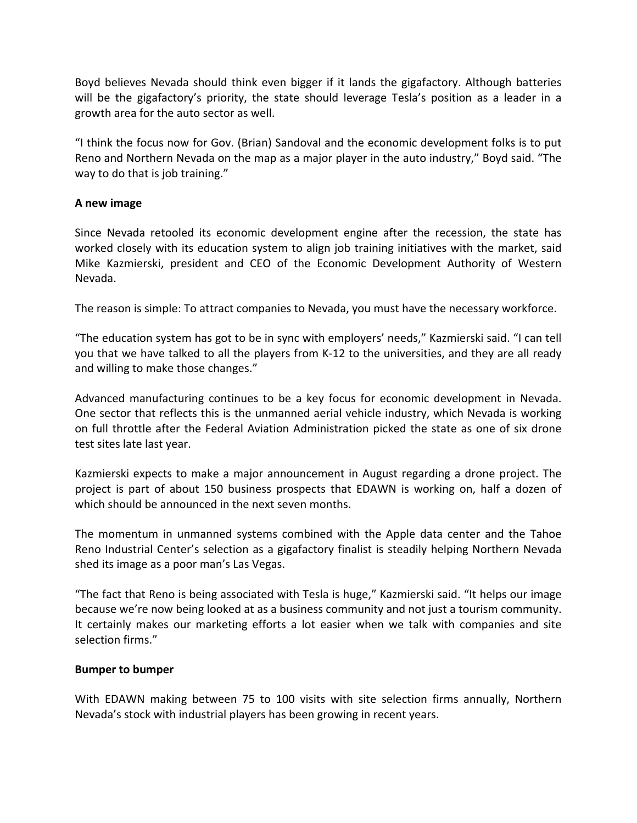Boyd believes Nevada should think even bigger if it lands the gigafactory. Although batteries will be the gigafactory's priority, the state should leverage Tesla's position as a leader in a growth area for the auto sector as well.

"I think the focus now for Gov. (Brian) Sandoval and the economic development folks is to put Reno and Northern Nevada on the map as a major player in the auto industry," Boyd said. "The way to do that is job training."

## **A new image**

Since Nevada retooled its economic development engine after the recession, the state has worked closely with its education system to align job training initiatives with the market, said Mike Kazmierski, president and CEO of the Economic Development Authority of Western Nevada.

The reason is simple: To attract companies to Nevada, you must have the necessary workforce.

"The education system has got to be in sync with employers' needs," Kazmierski said. "I can tell you that we have talked to all the players from K‐12 to the universities, and they are all ready and willing to make those changes."

Advanced manufacturing continues to be a key focus for economic development in Nevada. One sector that reflects this is the unmanned aerial vehicle industry, which Nevada is working on full throttle after the Federal Aviation Administration picked the state as one of six drone test sites late last year.

Kazmierski expects to make a major announcement in August regarding a drone project. The project is part of about 150 business prospects that EDAWN is working on, half a dozen of which should be announced in the next seven months.

The momentum in unmanned systems combined with the Apple data center and the Tahoe Reno Industrial Center's selection as a gigafactory finalist is steadily helping Northern Nevada shed its image as a poor man's Las Vegas.

"The fact that Reno is being associated with Tesla is huge," Kazmierski said. "It helps our image because we're now being looked at as a business community and not just a tourism community. It certainly makes our marketing efforts a lot easier when we talk with companies and site selection firms."

## **Bumper to bumper**

With EDAWN making between 75 to 100 visits with site selection firms annually, Northern Nevada's stock with industrial players has been growing in recent years.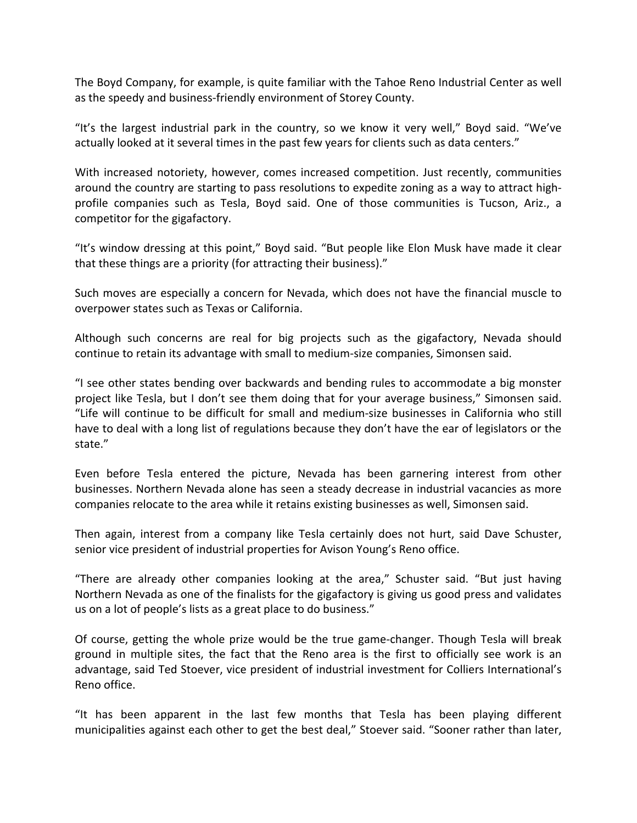The Boyd Company, for example, is quite familiar with the Tahoe Reno Industrial Center as well as the speedy and business‐friendly environment of Storey County.

"It's the largest industrial park in the country, so we know it very well," Boyd said. "We've actually looked at it several times in the past few years for clients such as data centers."

With increased notoriety, however, comes increased competition. Just recently, communities around the country are starting to pass resolutions to expedite zoning as a way to attract high‐ profile companies such as Tesla, Boyd said. One of those communities is Tucson, Ariz., a competitor for the gigafactory.

"It's window dressing at this point," Boyd said. "But people like Elon Musk have made it clear that these things are a priority (for attracting their business)."

Such moves are especially a concern for Nevada, which does not have the financial muscle to overpower states such as Texas or California.

Although such concerns are real for big projects such as the gigafactory, Nevada should continue to retain its advantage with small to medium‐size companies, Simonsen said.

"I see other states bending over backwards and bending rules to accommodate a big monster project like Tesla, but I don't see them doing that for your average business," Simonsen said. "Life will continue to be difficult for small and medium‐size businesses in California who still have to deal with a long list of regulations because they don't have the ear of legislators or the state."

Even before Tesla entered the picture, Nevada has been garnering interest from other businesses. Northern Nevada alone has seen a steady decrease in industrial vacancies as more companies relocate to the area while it retains existing businesses as well, Simonsen said.

Then again, interest from a company like Tesla certainly does not hurt, said Dave Schuster, senior vice president of industrial properties for Avison Young's Reno office.

"There are already other companies looking at the area," Schuster said. "But just having Northern Nevada as one of the finalists for the gigafactory is giving us good press and validates us on a lot of people's lists as a great place to do business."

Of course, getting the whole prize would be the true game‐changer. Though Tesla will break ground in multiple sites, the fact that the Reno area is the first to officially see work is an advantage, said Ted Stoever, vice president of industrial investment for Colliers International's Reno office.

"It has been apparent in the last few months that Tesla has been playing different municipalities against each other to get the best deal," Stoever said. "Sooner rather than later,